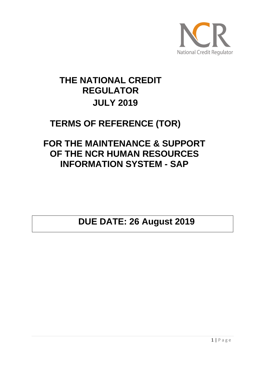

# **THE NATIONAL CREDIT REGULATOR JULY 2019**

## **TERMS OF REFERENCE (TOR)**

## **FOR THE MAINTENANCE & SUPPORT OF THE NCR HUMAN RESOURCES INFORMATION SYSTEM - SAP**

**DUE DATE: 26 August 2019**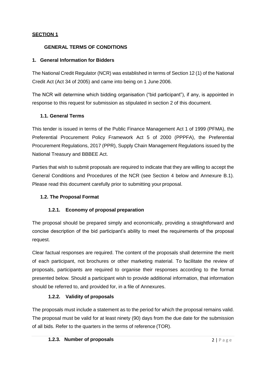## **SECTION 1**

## **GENERAL TERMS OF CONDITIONS**

## **1. General Information for Bidders**

The National Credit Regulator (NCR) was established in terms of Section 12 (1) of the National Credit Act (Act 34 of 2005) and came into being on 1 June 2006.

The NCR will determine which bidding organisation ("bid participant"), if any, is appointed in response to this request for submission as stipulated in section 2 of this document.

## **1.1. General Terms**

This tender is issued in terms of the Public Finance Management Act 1 of 1999 (PFMA), the Preferential Procurement Policy Framework Act 5 of 2000 (PPPFA), the Preferential Procurement Regulations, 2017 (PPR), Supply Chain Management Regulations issued by the National Treasury and BBBEE Act.

Parties that wish to submit proposals are required to indicate that they are willing to accept the General Conditions and Procedures of the NCR (see Section 4 below and Annexure B.1). Please read this document carefully prior to submitting your proposal.

## **1.2. The Proposal Format**

## **1.2.1. Economy of proposal preparation**

The proposal should be prepared simply and economically, providing a straightforward and concise description of the bid participant's ability to meet the requirements of the proposal request.

Clear factual responses are required. The content of the proposals shall determine the merit of each participant, not brochures or other marketing material. To facilitate the review of proposals, participants are required to organise their responses according to the format presented below. Should a participant wish to provide additional information, that information should be referred to, and provided for, in a file of Annexures.

## **1.2.2. Validity of proposals**

The proposals must include a statement as to the period for which the proposal remains valid. The proposal must be valid for at least ninety (90) days from the due date for the submission of all bids. Refer to the quarters in the terms of reference (TOR).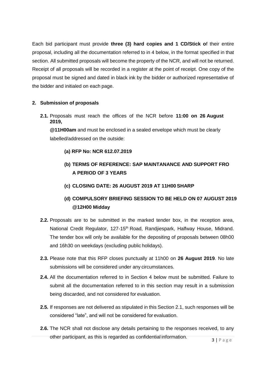Each bid participant must provide **three (3) hard copies and 1 CD/Stick o**f their entire proposal, including all the documentation referred to in 4 below, in the format specified in that section. All submitted proposals will become the property of the NCR, and will not be returned. Receipt of all proposals will be recorded in a register at the point of receipt. One copy of the proposal must be signed and dated in black ink by the bidder or authorized representative of the bidder and initialed on each page.

## **2. Submission of proposals**

**2.1.** Proposals must reach the offices of the NCR before **11:00 on 26 August 2019,**

**@11H00am** and must be enclosed in a sealed envelope which must be clearly labelled/addressed on the outside:

## **(a) RFP No: NCR 612.07.2019**

- **(b) TERMS OF REFERENCE: SAP MAINTANANCE AND SUPPORT FRO A PERIOD OF 3 YEARS**
- **(c) CLOSING DATE: 26 AUGUST 2019 AT 11H00 SHARP**
- **(d) COMPULSORY BRIEFING SESSION TO BE HELD ON 07 AUGUST 2019 @12H00 Midday**
- **2.2.** Proposals are to be submitted in the marked tender box, in the reception area, National Credit Regulator, 127-15<sup>th</sup> Road, Randjiespark, Halfway House, Midrand. The tender box will only be available for the depositing of proposals between 08h00 and 16h30 on weekdays (excluding public holidays).
- **2.3.** Please note that this RFP closes punctually at 11h00 on **26 August 2019**. No late submissions will be considered under any circumstances.
- **2.4.** All the documentation referred to in Section 4 below must be submitted. Failure to submit all the documentation referred to in this section may result in a submission being discarded, and not considered for evaluation.
- **2.5.** If responses are not delivered as stipulated in this Section 2.1, such responses will be considered "late", and will not be considered for evaluation.
- **2.6.** The NCR shall not disclose any details pertaining to the responses received, to any other participant, as this is regarded as confidential information.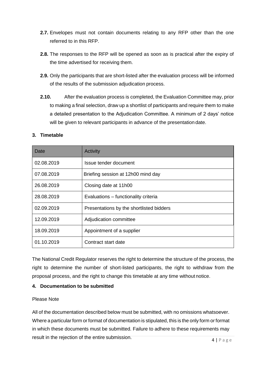- **2.7.** Envelopes must not contain documents relating to any RFP other than the one referred to in this RFP.
- **2.8.** The responses to the RFP will be opened as soon as is practical after the expiry of the time advertised for receiving them.
- **2.9.** Only the participants that are short-listed after the evaluation process will be informed of the results of the submission adjudication process.
- **2.10.** After the evaluation process is completed, the Evaluation Committee may, prior to making a final selection, draw up a shortlist of participants and require them to make a detailed presentation to the Adjudication Committee. A minimum of 2 days' notice will be given to relevant participants in advance of the presentation date.

#### **3. Timetable**

| Date       | Activity                                 |
|------------|------------------------------------------|
| 02.08.2019 | Issue tender document                    |
| 07.08.2019 | Briefing session at 12h00 mind day       |
| 26.08.2019 | Closing date at 11h00                    |
| 28.08.2019 | Evaluations - functionality criteria     |
| 02.09.2019 | Presentations by the shortlisted bidders |
| 12.09.2019 | Adjudication committee                   |
| 18.09.2019 | Appointment of a supplier                |
| 01.10.2019 | Contract start date                      |

The National Credit Regulator reserves the right to determine the structure of the process, the right to determine the number of short-listed participants, the right to withdraw from the proposal process, and the right to change this timetable at any time without notice.

## **4. Documentation to be submitted**

#### Please Note

All of the documentation described below must be submitted, with no omissions whatsoever. Where a particular form or format of documentation is stipulated, this is the only form or format in which these documents must be submitted. Failure to adhere to these requirements may result in the rejection of the entire submission.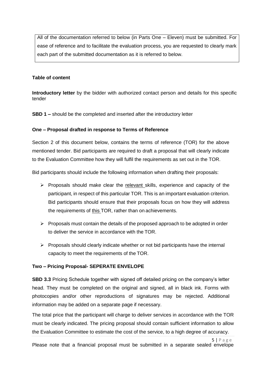All of the documentation referred to below (in Parts One – Eleven) must be submitted. For ease of reference and to facilitate the evaluation process, you are requested to clearly mark each part of the submitted documentation as it is referred to below.

#### **Table of content**

**Introductory letter** by the bidder with authorized contact person and details for this specific tender

**SBD 1 –** should be the completed and inserted after the introductory letter

#### **One – Proposal drafted in response to Terms of Reference**

Section 2 of this document below, contains the terms of reference (TOR) for the above mentioned tender. Bid participants are required to draft a proposal that will clearly indicate to the Evaluation Committee how they will fulfil the requirements as set out in the TOR.

Bid participants should include the following information when drafting their proposals:

- $\triangleright$  Proposals should make clear the relevant skills, experience and capacity of the participant, in respect of this particular TOR. This is an important evaluation criterion. Bid participants should ensure that their proposals focus on how they will address the requirements of this TOR, rather than on achievements.
- $\triangleright$  Proposals must contain the details of the proposed approach to be adopted in order to deliver the service in accordance with the TOR.
- $\triangleright$  Proposals should clearly indicate whether or not bid participants have the internal capacity to meet the requirements of the TOR.

#### **Two – Pricing Proposal- SEPERATE ENVELOPE**

**SBD 3.3** Pricing Schedule together with signed off detailed pricing on the company's letter head. They must be completed on the original and signed, all in black ink. Forms with photocopies and/or other reproductions of signatures may be rejected. Additional information may be added on a separate page if necessary.

The total price that the participant will charge to deliver services in accordance with the TOR must be clearly indicated. The pricing proposal should contain sufficient information to allow the Evaluation Committee to estimate the cost of the service, to a high degree of accuracy.

5 | P a g e Please note that a financial proposal must be submitted in a separate sealed envelope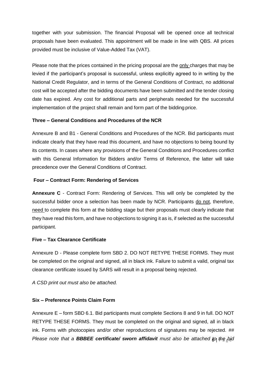together with your submission. The financial Proposal will be opened once all technical proposals have been evaluated. This appointment will be made in line with QBS. All prices provided must be inclusive of Value-Added Tax (VAT).

Please note that the prices contained in the pricing proposal are the only charges that may be levied if the participant's proposal is successful, unless explicitly agreed to in writing by the National Credit Regulator, and in terms of the General Conditions of Contract, no additional cost will be accepted after the bidding documents have been submitted and the tender closing date has expired. Any cost for additional parts and peripherals needed for the successful implementation of the project shall remain and form part of the bidding price.

## **Three – General Conditions and Procedures of the NCR**

Annexure B and B1 - General Conditions and Procedures of the NCR. Bid participants must indicate clearly that they have read this document, and have no objections to being bound by its contents. In cases where any provisions of the General Conditions and Procedures conflict with this General Information for Bidders and/or Terms of Reference, the latter will take precedence over the General Conditions of Contract.

## **Four – Contract Form: Rendering of Services**

**Annexure C** - Contract Form: Rendering of Services. This will only be completed by the successful bidder once a selection has been made by NCR. Participants do not, therefore, need to complete this form at the bidding stage but their proposals must clearly indicate that they have read this form, and have no objections to signing it as is, if selected as the successful participant.

## **Five – Tax Clearance Certificate**

Annexure D - Please complete form SBD 2. DO NOT RETYPE THESE FORMS. They must be completed on the original and signed, all in black ink. Failure to submit a valid, original tax clearance certificate issued by SARS will result in a proposal being rejected.

*A CSD print out must also be attached.*

## **Six – Preference Points Claim Form**

Please note that a **BBBEE certificate/ sworn affidavit** must also be attached to the bid Annexure E – form SBD 6.1. Bid participants must complete Sections 8 and 9 in full. DO NOT RETYPE THESE FORMS. They must be completed on the original and signed, all in black ink. Forms with photocopies and/or other reproductions of signatures may be rejected. *##*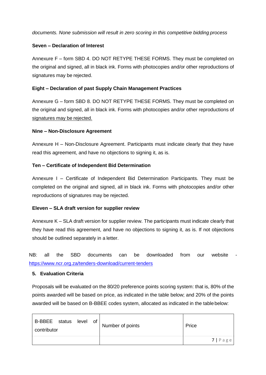*documents. None submission will result in zero scoring in this competitive bidding process*

#### **Seven – Declaration of Interest**

Annexure F – form SBD 4. DO NOT RETYPE THESE FORMS. They must be completed on the original and signed, all in black ink. Forms with photocopies and/or other reproductions of signatures may be rejected.

### **Eight – Declaration of past Supply Chain Management Practices**

Annexure G – form SBD 8. DO NOT RETYPE THESE FORMS. They must be completed on the original and signed, all in black ink. Forms with photocopies and/or other reproductions of signatures may be rejected.

#### **Nine – Non-Disclosure Agreement**

Annexure H – Non-Disclosure Agreement. Participants must indicate clearly that they have read this agreement, and have no objections to signing it, as is.

## **Ten – Certificate of Independent Bid Determination**

Annexure I – Certificate of Independent Bid Determination Participants. They must be completed on the original and signed, all in black ink. Forms with photocopies and/or other reproductions of signatures may be rejected.

## **Eleven – SLA draft version for supplier review**

Annexure K – SLA draft version for supplier review. The participants must indicate clearly that they have read this agreement, and have no objections to signing it, as is. If not objections should be outlined separately in a letter.

NB: all the SBD documents can be downloaded from our website <https://www.ncr.org.za/tenders-download/current-tenders>

## **5. Evaluation Criteria**

Proposals will be evaluated on the 80/20 preference points scoring system: that is, 80% of the points awarded will be based on price, as indicated in the table below; and 20% of the points awarded will be based on B-BBEE codes system, allocated as indicated in the tablebelow:

| B-BBEE status<br>contributor | level | of | Number of points | Price      |
|------------------------------|-------|----|------------------|------------|
|                              |       |    |                  | $7$   Page |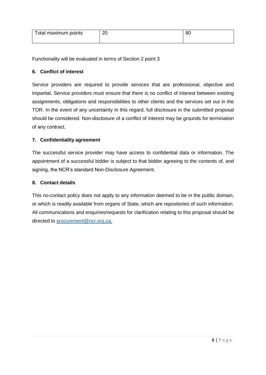| Total maximum points | n r<br>- ZU | ou |
|----------------------|-------------|----|
|                      |             |    |

Functionality will be evaluated in terms of Section 2 point 3

### **6. Conflict of interest**

Service providers are required to provide services that are professional, objective and impartial. Service providers must ensure that there is no conflict of interest between existing assignments, obligations and responsibilities to other clients and the services set out in the TOR. In the event of any uncertainty in this regard, full disclosure in the submitted proposal should be considered. Non-disclosure of a conflict of interest may be grounds for termination of any contract.

#### **7. Confidentiality agreement**

The successful service provider may have access to confidential data or information. The appointment of a successful bidder is subject to that bidder agreeing to the contents of, and signing, the NCR's standard Non-Disclosure Agreement.

#### **8. Contact details**

This no-contact policy does not apply to any information deemed to be in the public domain, or which is readily available from organs of State, which are repositories of such information. All communications and enquiries/requests for clarification relating to this proposal should be directed to [procurement@ncr.org.za.](mailto:procurement@ncr.org.za)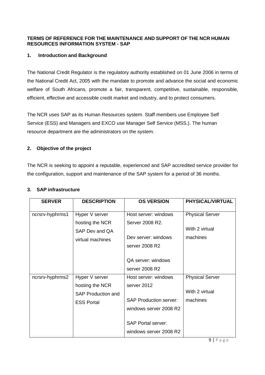## **TERMS OF REFERENCE FOR THE MAINTENANCE AND SUPPORT OF THE NCR HUMAN RESOURCES INFORMATION SYSTEM - SAP**

## **1. Introduction and Background**

The National Credit Regulator is the regulatory authority established on 01 June 2006 in terms of the National Credit Act, 2005 with the mandate to promote and advance the social and economic welfare of South Africans, promote a fair, transparent, competitive, sustainable, responsible, efficient, effective and accessible credit market and industry, and to protect consumers.

The NCR uses SAP as its Human Resources system. Staff members use Employee Self Service (ESS) and Managers and EXCO use Manager Self Service (MSS.). The human resource department are the administrators on the system.

## **2. Objective of the project**

The NCR is seeking to appoint a reputable, experienced and SAP accredited service provider for the configuration, support and maintenance of the SAP system for a period of 36 months.

| <b>SERVER</b>   | <b>DESCRIPTION</b>                                             | <b>OS VERSION</b>                                       | <b>PHYSICAL/VIRTUAL</b>                  |
|-----------------|----------------------------------------------------------------|---------------------------------------------------------|------------------------------------------|
| ncrsrv-hyphrms1 | Hyper V server<br>hosting the NCR                              | Host server: windows<br>Server 2008 R2.                 | <b>Physical Server</b>                   |
|                 | SAP Dev and QA<br>virtual machines                             | Dev server: windows<br>server 2008 R2                   | With 2 virtual<br>machines               |
|                 |                                                                | <b>QA server: windows</b><br>server 2008 R2             |                                          |
| ncrsrv-hyphrms2 | Hyper V server<br>hosting the NCR<br><b>SAP Production and</b> | Host server: windows<br>server 2012                     | <b>Physical Server</b><br>With 2 virtual |
|                 | <b>ESS Portal</b>                                              | <b>SAP Production server:</b><br>windows server 2008 R2 | machines                                 |
|                 |                                                                | <b>SAP Portal server:</b><br>windows server 2008 R2     |                                          |

## **3. SAP infrastructure**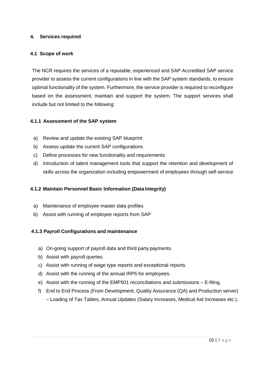## **4. Services required**

### **4.1 Scope of work**

The NCR requires the services of a reputable, experienced and SAP Accredited SAP service provider to assess the current configurations in line with the SAP system standards, to ensure optimal functionality of the system. Furthermore, the service provider is required to reconfigure based on the assessment, maintain and support the system. The support services shall include but not limited to the following:

#### **4.1.1 Assessment of the SAP system**

- a) Review and update the existing SAP blueprint
- b) Assess update the current SAP configurations
- c) Define processes for new functionality and requirements
- d) Introduction of talent management tools that support the retention and development of skills across the organization including empowerment of employees through self-service

### **4.1.2 Maintain Personnel Basic Information (Data Integrity)**

- a) Maintenance of employee master data profiles
- b) Assist with running of employee reports from SAP

#### **4.1.3 Payroll Configurations and maintenance**

- a) On-going support of payroll data and third party payments.
- b) Assist with payroll queries.
- c) Assist with running of wage type reports and exceptional reports.
- d) Assist with the running of the annual IRP5 for employees.
- e) Assist with the running of the EMP501 reconciliations and submissions E-filing.
- f) End to End Process (From Development, Quality Assurance (QA) and Production server) – Loading of Tax Tables, Annual Updates (Salary Increases, Medical Aid Increases etc.).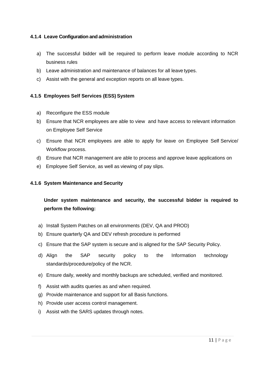## **4.1.4 Leave Configuration and administration**

- a) The successful bidder will be required to perform leave module according to NCR business rules
- b) Leave administration and maintenance of balances for all leave types.
- c) Assist with the general and exception reports on all leave types.

## **4.1.5 Employees Self Services (ESS) System**

- a) Reconfigure the ESS module
- b) Ensure that NCR employees are able to view and have access to relevant information on Employee Self Service
- c) Ensure that NCR employees are able to apply for leave on Employee Self Service/ Workflow process.
- d) Ensure that NCR management are able to process and approve leave applications on
- e) Employee Self Service, as well as viewing of pay slips.

## **4.1.6 System Maintenance and Security**

## **Under system maintenance and security, the successful bidder is required to perform the following:**

- a) Install System Patches on all environments (DEV, QA and PROD)
- b) Ensure quarterly QA and DEV refresh procedure is performed
- c) Ensure that the SAP system is secure and is aligned for the SAP Security Policy.
- d) Align the SAP security policy to the Information technology standards/procedure/policy of the NCR.
- e) Ensure daily, weekly and monthly backups are scheduled, verified and monitored.
- f) Assist with audits queries as and when required.
- g) Provide maintenance and support for all Basis functions.
- h) Provide user access control management.
- i) Assist with the SARS updates through notes.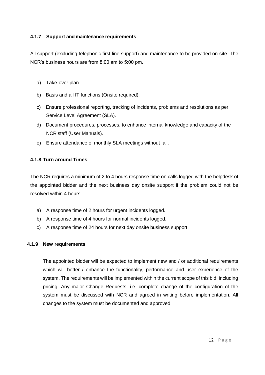## **4.1.7 Support and maintenance requirements**

All support (excluding telephonic first line support) and maintenance to be provided on-site. The NCR's business hours are from 8:00 am to 5:00 pm.

- a) Take-over plan.
- b) Basis and all IT functions (Onsite required).
- c) Ensure professional reporting, tracking of incidents, problems and resolutions as per Service Level Agreement (SLA).
- d) Document procedures, processes, to enhance internal knowledge and capacity of the NCR staff (User Manuals).
- e) Ensure attendance of monthly SLA meetings without fail.

## **4.1.8 Turn around Times**

The NCR requires a minimum of 2 to 4 hours response time on calls logged with the helpdesk of the appointed bidder and the next business day onsite support if the problem could not be resolved within 4 hours.

- a) A response time of 2 hours for urgent incidents logged.
- b) A response time of 4 hours for normal incidents logged.
- c) A response time of 24 hours for next day onsite business support

## **4.1.9 New requirements**

The appointed bidder will be expected to implement new and / or additional requirements which will better / enhance the functionality, performance and user experience of the system. The requirements will be implemented within the current scope of this bid, including pricing. Any major Change Requests, i.e. complete change of the configuration of the system must be discussed with NCR and agreed in writing before implementation. All changes to the system must be documented and approved.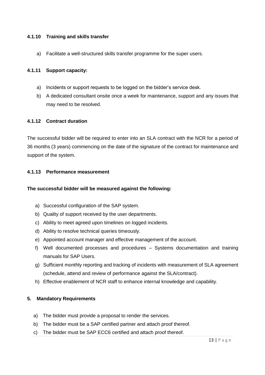#### **4.1.10 Training and skills transfer**

a) Facilitate a well-structured skills transfer programme for the super users.

#### **4.1.11 Support capacity:**

- a) Incidents or support requests to be logged on the bidder's service desk.
- b) A dedicated consultant onsite once a week for maintenance, support and any issues that may need to be resolved.

#### **4.1.12 Contract duration**

The successful bidder will be required to enter into an SLA contract with the NCR for a period of 36 months (3 years) commencing on the date of the signature of the contract for maintenance and support of the system.

#### **4.1.13 Performance measurement**

### **The successful bidder will be measured against the following:**

- a) Successful configuration of the SAP system.
- b) Quality of support received by the user departments.
- c) Ability to meet agreed upon timelines on logged incidents.
- d) Ability to resolve technical queries timeously.
- e) Appointed account manager and effective management of the account.
- f) Well documented processes and procedures Systems documentation and training manuals for SAP Users.
- g) Sufficient monthly reporting and tracking of incidents with measurement of SLA agreement (schedule, attend and review of performance against the SLA/contract).
- h) Effective enablement of NCR staff to enhance internal knowledge and capability.

#### **5. Mandatory Requirements**

- a) The bidder must provide a proposal to render the services.
- b) The bidder must be a SAP certified partner and attach proof thereof.
- c) The bidder must be SAP ECC6 certified and attach proof thereof.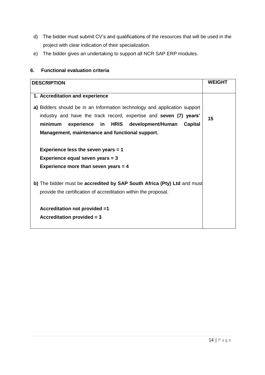- d) The bidder must submit CV's and qualifications of the resources that will be used in the project with clear indication of their specialization.
- e) The bidder gives an undertaking to support all NCR SAP ERP modules.

## **6. Functional evaluation criteria**

| <b>DESCRIPTION</b>                                                                                                                                                                                                                                               | <b>WEIGHT</b> |
|------------------------------------------------------------------------------------------------------------------------------------------------------------------------------------------------------------------------------------------------------------------|---------------|
| 1. Accreditation and experience                                                                                                                                                                                                                                  |               |
| a) Bidders should be in an Information technology and application support<br>industry and have the track record, expertise and seven (7) years'<br>experience in HRIS development/Human<br>minimum<br>Capital<br>Management, maintenance and functional support. | 15            |
| Experience less the seven years $= 1$<br>Experience equal seven years = 3<br>Experience more than seven years $= 4$                                                                                                                                              |               |
| b) The bidder must be accredited by SAP South Africa (Pty) Ltd and must<br>provide the certification of accreditation within the proposal.                                                                                                                       |               |
| Accreditation not provided =1<br>Accreditation provided $= 3$                                                                                                                                                                                                    |               |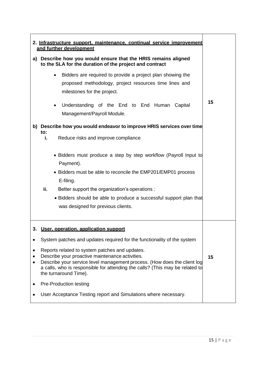| 2. Infrastructure support, maintenance, continual service improvement<br>and further development |                                                                                                                                                                                                                                                                                                                                                                                                                                                              |    |  |
|--------------------------------------------------------------------------------------------------|--------------------------------------------------------------------------------------------------------------------------------------------------------------------------------------------------------------------------------------------------------------------------------------------------------------------------------------------------------------------------------------------------------------------------------------------------------------|----|--|
| a)                                                                                               | Describe how you would ensure that the HRIS remains aligned<br>to the SLA for the duration of the project and contract                                                                                                                                                                                                                                                                                                                                       |    |  |
|                                                                                                  | Bidders are required to provide a project plan showing the<br>$\bullet$<br>proposed methodology, project resources time lines and<br>milestones for the project.<br>Understanding of the End to End Human Capital<br>$\bullet$                                                                                                                                                                                                                               | 15 |  |
|                                                                                                  | Management/Payroll Module.                                                                                                                                                                                                                                                                                                                                                                                                                                   |    |  |
|                                                                                                  | b) Describe how you would endeavor to improve HRIS services over time<br>to:<br>Reduce risks and improve compliance<br>i.<br>• Bidders must produce a step by step workflow (Payroll Input to<br>Payment).<br>• Bidders must be able to reconcile the EMP201/EMP01 process<br>E-filing.<br>ii.<br>Better support the organization's operations :<br>• Bidders should be able to produce a successful support plan that<br>was designed for previous clients. |    |  |
| 3.                                                                                               | User, operation, application support                                                                                                                                                                                                                                                                                                                                                                                                                         |    |  |
|                                                                                                  | System patches and updates required for the functionality of the system<br>Reports related to system patches and updates.<br>Describe your proactive maintenance activities.<br>Describe your service level management process. (How does the client log<br>a calls, who is responsible for attending the calls? (This may be related to<br>the turnaround Time).                                                                                            |    |  |
|                                                                                                  | Pre-Production testing                                                                                                                                                                                                                                                                                                                                                                                                                                       |    |  |
|                                                                                                  | User Acceptance Testing report and Simulations where necessary.                                                                                                                                                                                                                                                                                                                                                                                              |    |  |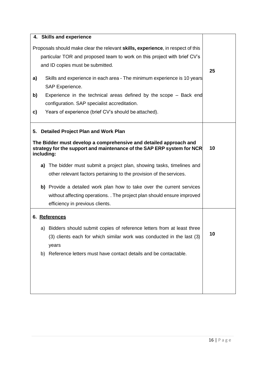| 4. Skills and experience                                                                                                                                  |    |
|-----------------------------------------------------------------------------------------------------------------------------------------------------------|----|
| Proposals should make clear the relevant skills, experience, in respect of this                                                                           |    |
| particular TOR and proposed team to work on this project with brief CV's                                                                                  |    |
| and ID copies must be submitted.                                                                                                                          |    |
|                                                                                                                                                           | 25 |
| Skills and experience in each area - The minimum experience is 10 years<br>a)                                                                             |    |
| SAP Experience.                                                                                                                                           |    |
| Experience in the technical areas defined by the scope - Back end<br>b)                                                                                   |    |
| configuration. SAP specialist accreditation.                                                                                                              |    |
| Years of experience (brief CV's should be attached).<br>c)                                                                                                |    |
|                                                                                                                                                           |    |
| <b>Detailed Project Plan and Work Plan</b><br>5.                                                                                                          |    |
| The Bidder must develop a comprehensive and detailed approach and<br>strategy for the support and maintenance of the SAP ERP system for NCR<br>including: | 10 |
| a) The bidder must submit a project plan, showing tasks, timelines and                                                                                    |    |
| other relevant factors pertaining to the provision of the services.                                                                                       |    |
| b) Provide a detailed work plan how to take over the current services                                                                                     |    |
| without affecting operations. . The project plan should ensure improved                                                                                   |    |
| efficiency in previous clients.                                                                                                                           |    |
| 6. References                                                                                                                                             |    |
| Bidders should submit copies of reference letters from at least three<br>a)                                                                               |    |
| (3) clients each for which similar work was conducted in the last (3)                                                                                     | 10 |
| years                                                                                                                                                     |    |
| b) Reference letters must have contact details and be contactable.                                                                                        |    |
|                                                                                                                                                           |    |
|                                                                                                                                                           |    |
|                                                                                                                                                           |    |
|                                                                                                                                                           |    |